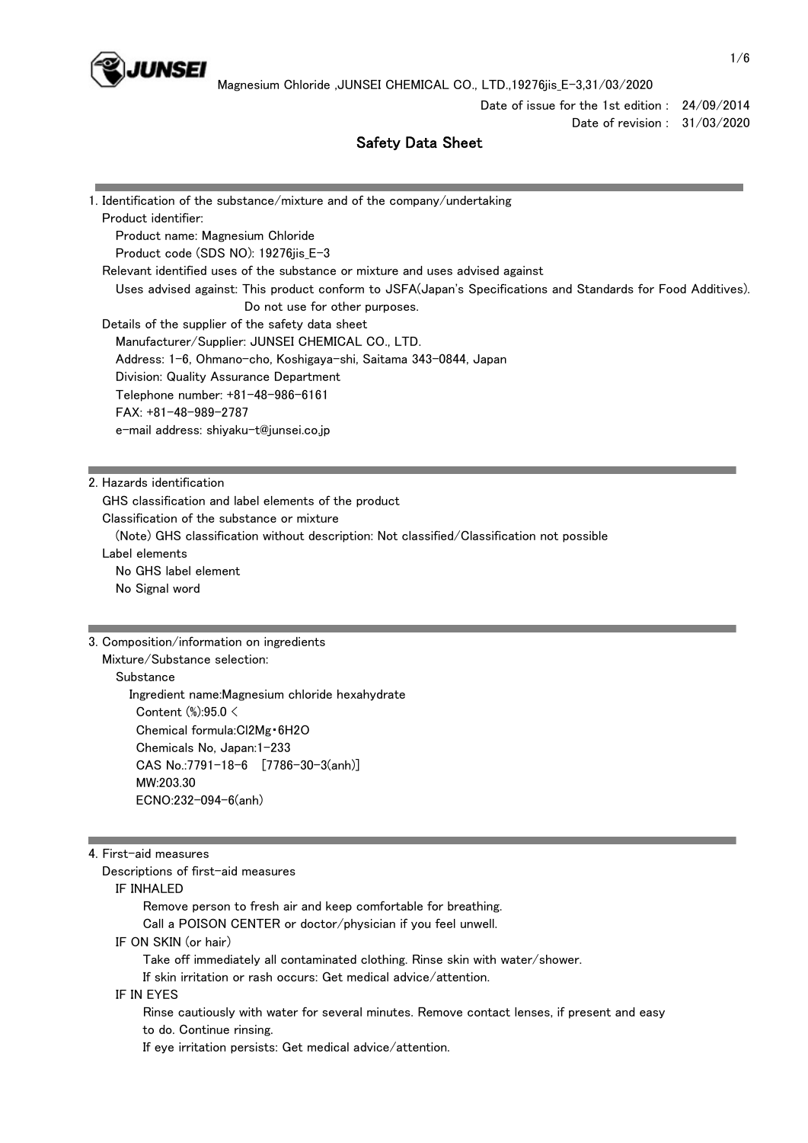

Date of issue for the 1st edition : 24/09/2014 Date of revision : 31/03/2020

# Safety Data Sheet

| 1. Identification of the substance/mixture and of the company/undertaking                                    |
|--------------------------------------------------------------------------------------------------------------|
| Product identifier:                                                                                          |
| Product name: Magnesium Chloride                                                                             |
| Product code (SDS NO): 19276jis_E-3                                                                          |
| Relevant identified uses of the substance or mixture and uses advised against                                |
| Uses advised against: This product conform to JSFA(Japan's Specifications and Standards for Food Additives). |
| Do not use for other purposes.                                                                               |
| Details of the supplier of the safety data sheet                                                             |
| Manufacturer/Supplier: JUNSEI CHEMICAL CO., LTD.                                                             |
| Address: 1-6, Ohmano-cho, Koshigaya-shi, Saitama 343-0844, Japan                                             |
| Division: Quality Assurance Department                                                                       |
| Telephone number: +81-48-986-6161                                                                            |
| $FAX: +81-48-989-2787$                                                                                       |
| e-mail address: shiyaku-t@junsei.co.jp                                                                       |
|                                                                                                              |
|                                                                                                              |
| 2. Hazards identification                                                                                    |
| GHS classification and label elements of the product                                                         |
| Classification of the substance or mixture                                                                   |
| (Note) GHS classification without description: Not classified/Classification not possible                    |
| Label elements                                                                                               |
| No GHS label element                                                                                         |
| No Signal word                                                                                               |
|                                                                                                              |
|                                                                                                              |

### 3. Composition/information on ingredients

Mixture/Substance selection:

**Substance**  Ingredient name:Magnesium chloride hexahydrate Content (%):95.0 < Chemical formula:Cl2Mg・6H2O Chemicals No, Japan:1-233 CAS No.:7791-18-6 [7786-30-3(anh)] MW:203.30 ECNO:232-094-6(anh)

### 4. First-aid measures

Descriptions of first-aid measures

IF INHALED

Remove person to fresh air and keep comfortable for breathing.

Call a POISON CENTER or doctor/physician if you feel unwell.

IF ON SKIN (or hair)

Take off immediately all contaminated clothing. Rinse skin with water/shower.

If skin irritation or rash occurs: Get medical advice/attention.

#### IF IN EYES

 Rinse cautiously with water for several minutes. Remove contact lenses, if present and easy to do. Continue rinsing.

If eye irritation persists: Get medical advice/attention.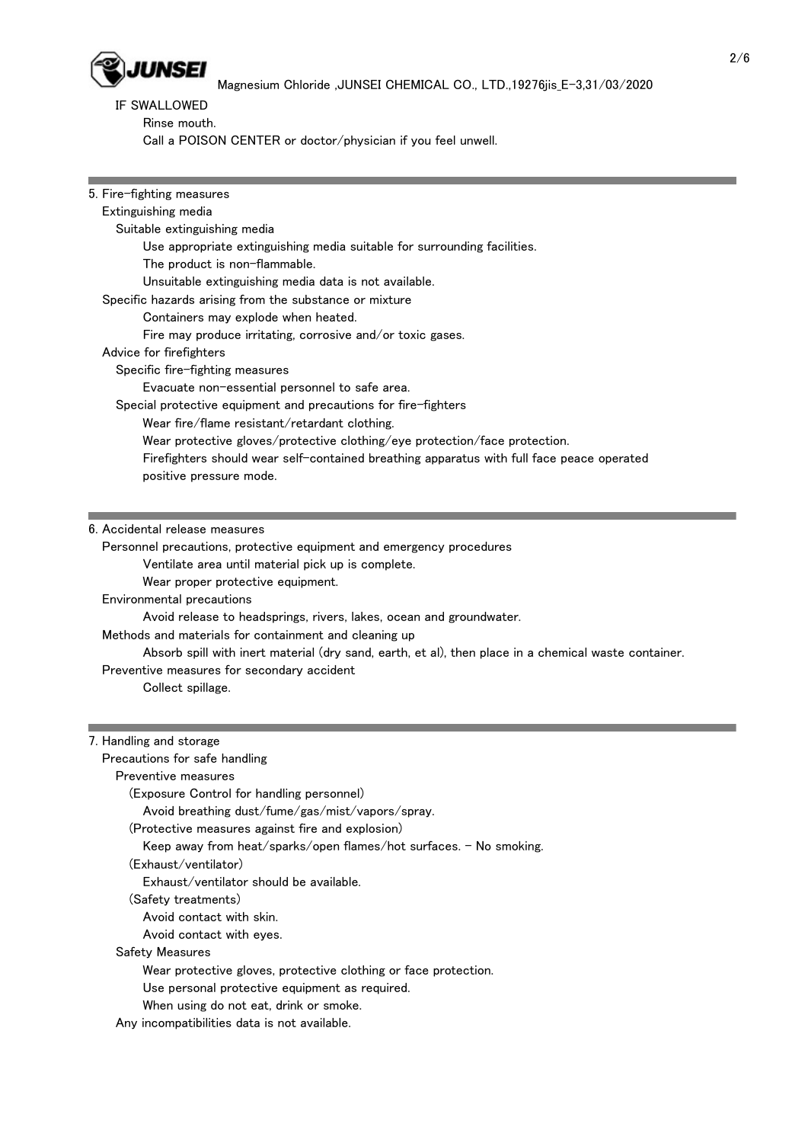

# IF SWALLOWED

Rinse mouth.

Call a POISON CENTER or doctor/physician if you feel unwell.

# 5. Fire-fighting measures

| Extinguishing media                                                                       |
|-------------------------------------------------------------------------------------------|
| Suitable extinguishing media                                                              |
| Use appropriate extinguishing media suitable for surrounding facilities.                  |
| The product is non-flammable.                                                             |
| Unsuitable extinguishing media data is not available.                                     |
| Specific hazards arising from the substance or mixture                                    |
| Containers may explode when heated.                                                       |
| Fire may produce irritating, corrosive and/or toxic gases.                                |
| Advice for firefighters                                                                   |
| Specific fire-fighting measures                                                           |
| Evacuate non-essential personnel to safe area.                                            |
| Special protective equipment and precautions for fire-fighters                            |
| Wear fire/flame resistant/retardant clothing.                                             |
| Wear protective gloves/protective clothing/eye protection/face protection.                |
| Firefighters should wear self-contained breathing apparatus with full face peace operated |
| positive pressure mode.                                                                   |

### 6. Accidental release measures

Personnel precautions, protective equipment and emergency procedures

Ventilate area until material pick up is complete.

Wear proper protective equipment.

Environmental precautions

Avoid release to headsprings, rivers, lakes, ocean and groundwater.

Methods and materials for containment and cleaning up

Absorb spill with inert material (dry sand, earth, et al), then place in a chemical waste container.

Preventive measures for secondary accident

Collect spillage.

### 7. Handling and storage

Precautions for safe handling

# Preventive measures

(Exposure Control for handling personnel)

Avoid breathing dust/fume/gas/mist/vapors/spray.

### (Protective measures against fire and explosion)

Keep away from heat/sparks/open flames/hot surfaces. - No smoking.

#### (Exhaust/ventilator)

Exhaust/ventilator should be available.

(Safety treatments)

Avoid contact with skin.

Avoid contact with eyes.

### Safety Measures

Wear protective gloves, protective clothing or face protection.

Use personal protective equipment as required.

When using do not eat, drink or smoke.

Any incompatibilities data is not available.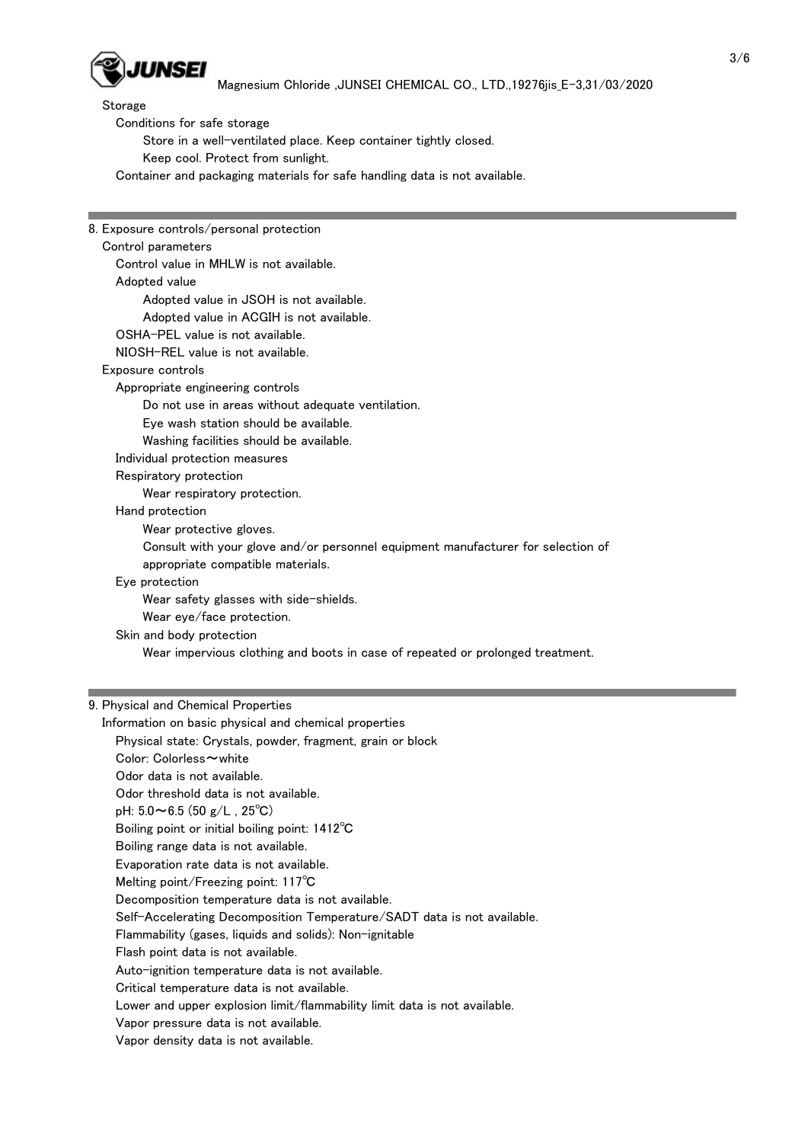

Storage

Conditions for safe storage

Store in a well-ventilated place. Keep container tightly closed.

Keep cool. Protect from sunlight.

Container and packaging materials for safe handling data is not available.

8. Exposure controls/personal protection Control parameters Control value in MHLW is not available. Adopted value Adopted value in JSOH is not available. Adopted value in ACGIH is not available. OSHA-PEL value is not available. NIOSH-REL value is not available. Exposure controls Appropriate engineering controls Do not use in areas without adequate ventilation. Eye wash station should be available. Washing facilities should be available. Individual protection measures Respiratory protection Wear respiratory protection. Hand protection Wear protective gloves. Consult with your glove and/or personnel equipment manufacturer for selection of appropriate compatible materials. Eye protection Wear safety glasses with side-shields. Wear eye/face protection. Skin and body protection Wear impervious clothing and boots in case of repeated or prolonged treatment.

# 9. Physical and Chemical Properties

 Information on basic physical and chemical properties Physical state: Crystals, powder, fragment, grain or block Color: Colorless~white Odor data is not available. Odor threshold data is not available. pH:  $5.0 \sim 6.5$  (50 g/L, 25°C) Boiling point or initial boiling point: 1412℃ Boiling range data is not available. Evaporation rate data is not available. Melting point/Freezing point: 117℃ Decomposition temperature data is not available. Self-Accelerating Decomposition Temperature/SADT data is not available. Flammability (gases, liquids and solids): Non-ignitable Flash point data is not available. Auto-ignition temperature data is not available. Critical temperature data is not available. Lower and upper explosion limit/flammability limit data is not available. Vapor pressure data is not available. Vapor density data is not available.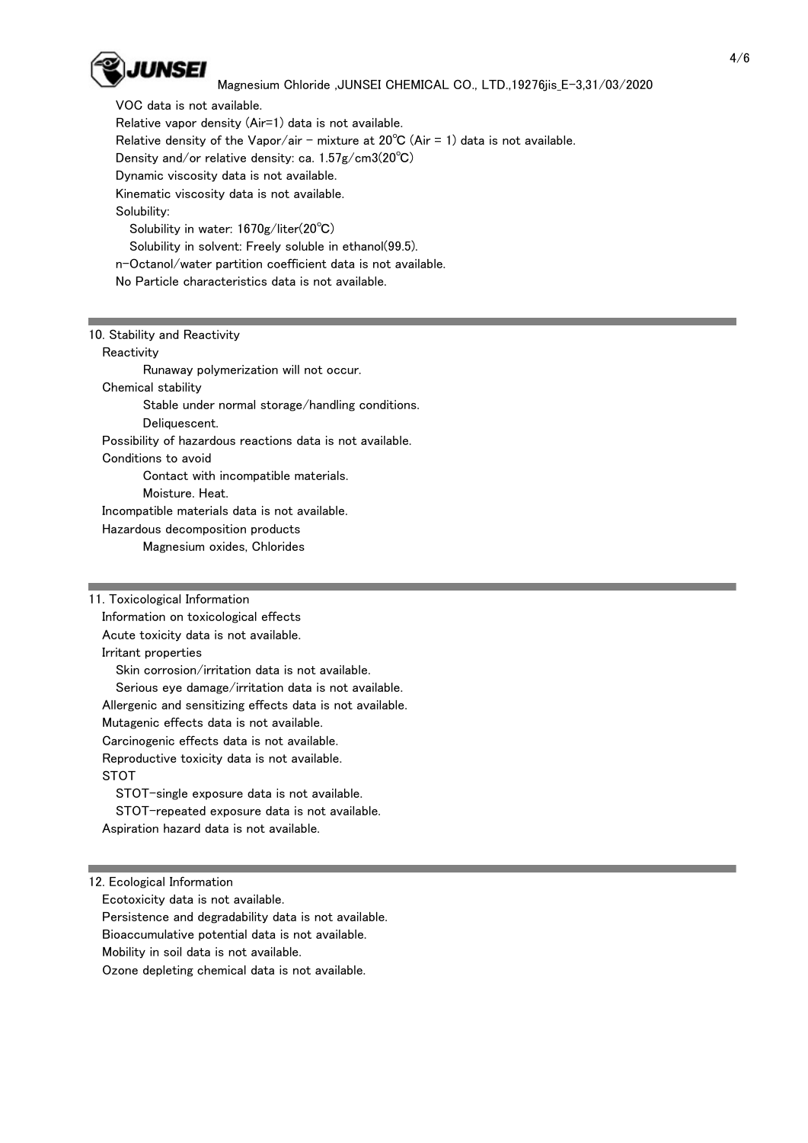

### Magnesium Chloride ,JUNSEI CHEMICAL CO., LTD.,19276jis\_E-3,31/03/2020

 VOC data is not available. Relative vapor density (Air=1) data is not available. Relative density of the Vapor/air - mixture at  $20^{\circ}$ C (Air = 1) data is not available. Density and/or relative density: ca. 1.57g/cm3(20℃) Dynamic viscosity data is not available. Kinematic viscosity data is not available. Solubility: Solubility in water: 1670g/liter(20℃) Solubility in solvent: Freely soluble in ethanol(99.5). n-Octanol/water partition coefficient data is not available. No Particle characteristics data is not available.

# 10. Stability and Reactivity

**Reactivity** 

 Runaway polymerization will not occur. Chemical stability Stable under normal storage/handling conditions. Deliquescent. Possibility of hazardous reactions data is not available. Conditions to avoid Contact with incompatible materials. Moisture. Heat. Incompatible materials data is not available. Hazardous decomposition products

Magnesium oxides, Chlorides

# 11. Toxicological Information

 Information on toxicological effects Acute toxicity data is not available. Irritant properties

 Skin corrosion/irritation data is not available. Serious eye damage/irritation data is not available. Allergenic and sensitizing effects data is not available. Mutagenic effects data is not available. Carcinogenic effects data is not available. Reproductive toxicity data is not available. STOT STOT-single exposure data is not available.

 STOT-repeated exposure data is not available. Aspiration hazard data is not available.

### 12. Ecological Information

Ecotoxicity data is not available.

Persistence and degradability data is not available.

Bioaccumulative potential data is not available.

Mobility in soil data is not available.

Ozone depleting chemical data is not available.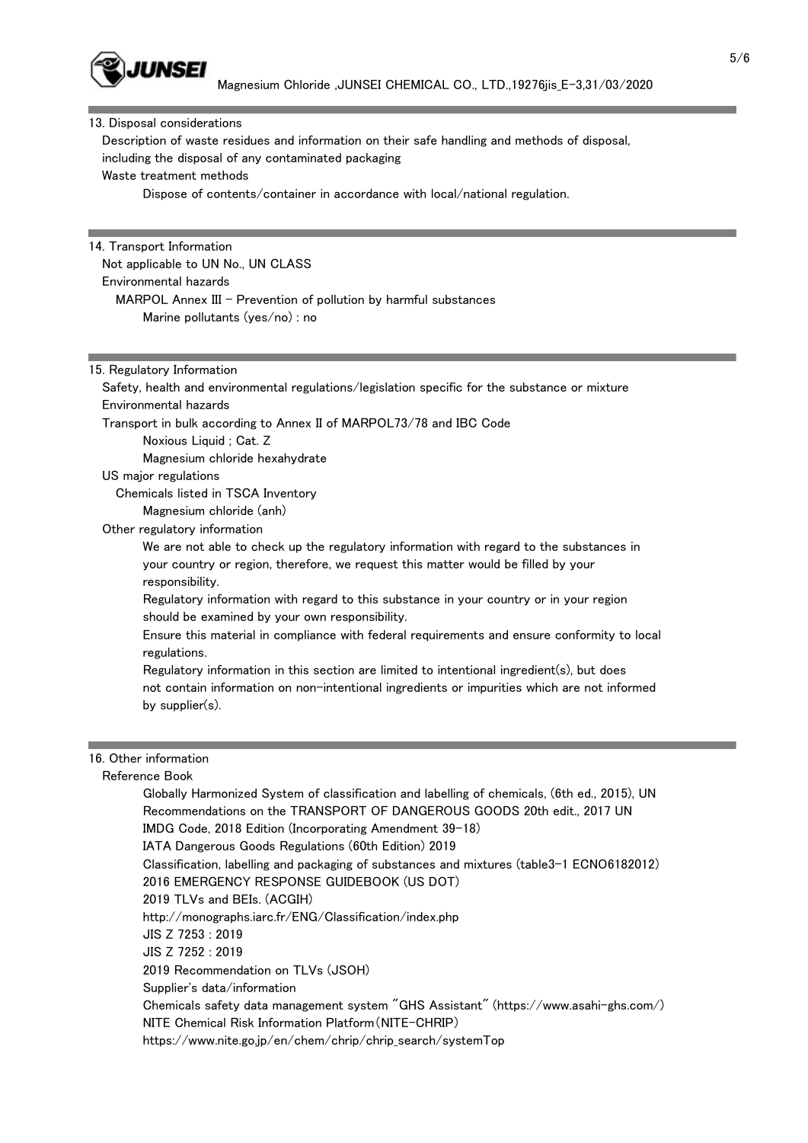

#### 13. Disposal considerations

 Description of waste residues and information on their safe handling and methods of disposal, including the disposal of any contaminated packaging Waste treatment methods

Dispose of contents/container in accordance with local/national regulation.

# 14. Transport Information Not applicable to UN No., UN CLASS Environmental hazards MARPOL Annex  $III$  - Prevention of pollution by harmful substances Marine pollutants (yes/no) : no

#### 15. Regulatory Information

 Safety, health and environmental regulations/legislation specific for the substance or mixture Environmental hazards Transport in bulk according to Annex II of MARPOL73/78 and IBC Code Noxious Liquid ; Cat. Z Magnesium chloride hexahydrate US major regulations

Chemicals listed in TSCA Inventory

Magnesium chloride (anh)

Other regulatory information

 We are not able to check up the regulatory information with regard to the substances in your country or region, therefore, we request this matter would be filled by your responsibility.

 Regulatory information with regard to this substance in your country or in your region should be examined by your own responsibility.

 Ensure this material in compliance with federal requirements and ensure conformity to local regulations.

 Regulatory information in this section are limited to intentional ingredient(s), but does not contain information on non-intentional ingredients or impurities which are not informed by supplier(s).

### 16. Other information

#### Reference Book

 Globally Harmonized System of classification and labelling of chemicals, (6th ed., 2015), UN Recommendations on the TRANSPORT OF DANGEROUS GOODS 20th edit., 2017 UN IMDG Code, 2018 Edition (Incorporating Amendment 39-18) IATA Dangerous Goods Regulations (60th Edition) 2019 Classification, labelling and packaging of substances and mixtures (table3-1 ECNO6182012) 2016 EMERGENCY RESPONSE GUIDEBOOK (US DOT) 2019 TLVs and BEIs. (ACGIH) http://monographs.iarc.fr/ENG/Classification/index.php JIS Z 7253 : 2019 JIS Z 7252 : 2019 2019 Recommendation on TLVs (JSOH) Supplier's data/information Chemicals safety data management system "GHS Assistant" (https://www.asahi-ghs.com/) NITE Chemical Risk Information Platform(NITE-CHRIP) https://www.nite.go.jp/en/chem/chrip/chrip\_search/systemTop